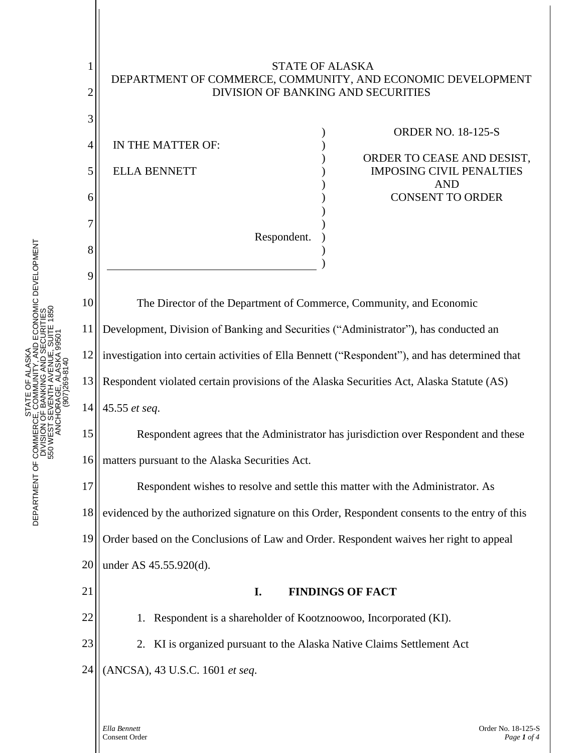

: ALASKA<br>INITY, AND ECONOMIC DEVELOPMENT<br>IG AND SECURITIES<br>ALASKA ,SBOIT 1850<br>ALASKA ,SBOIT DEPARTMENT OF COMMERCE, COMMUNITY, AND ECONOMIC DEVELOPMENT DEPARTMENT OF COMMERCE, COMMUNITY, AND ECONOMIC DEVELOPMENT 550 WEST SEVENTH AVENUE, SUITE 1850 DIVISION OF BANKING AND SECURITIES 550 WEST SEVENTH AVENUE, SUITE 1850 DIVISION OF BANKING AND SECURITI ANCHORAGE, ALASKA 99501 ANCHORAGE, ALASKA 995 STATE OF ALASKA PHONE: (907) 269-8140 STATE OF ALASK INTH AVE<br>AGE, ALA STATE<br>DEPARTMENT OF COMMERCE, COM<br>DIVISION OF BAN<br>STATE COM<br>SOM DEPARTMENT<br>STATE<br>STATE<br>STATE

> *Ella Bennett* Order No. 18-125-S Consent Order *Page 1 of 4*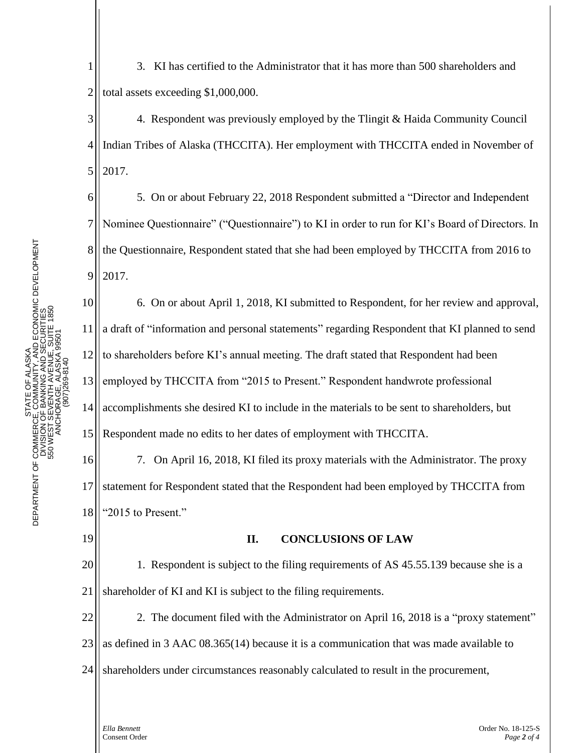1 2 3. KI has certified to the Administrator that it has more than 500 shareholders and total assets exceeding \$1,000,000.

3 4 5 4. Respondent was previously employed by the Tlingit & Haida Community Council Indian Tribes of Alaska (THCCITA). Her employment with THCCITA ended in November of 2017.

5. On or about February 22, 2018 Respondent submitted a "Director and Independent Nominee Questionnaire" ("Questionnaire") to KI in order to run for KI's Board of Directors. In the Questionnaire, Respondent stated that she had been employed by THCCITA from 2016 to 2017.

10 11 12 13 14 15 6. On or about April 1, 2018, KI submitted to Respondent, for her review and approval, a draft of "information and personal statements" regarding Respondent that KI planned to send to shareholders before KI's annual meeting. The draft stated that Respondent had been employed by THCCITA from "2015 to Present." Respondent handwrote professional accomplishments she desired KI to include in the materials to be sent to shareholders, but Respondent made no edits to her dates of employment with THCCITA.

16 17 18 7. On April 16, 2018, KI filed its proxy materials with the Administrator. The proxy statement for Respondent stated that the Respondent had been employed by THCCITA from "2015 to Present."

19

6

7

8

9

## **II. CONCLUSIONS OF LAW**

20 21 1. Respondent is subject to the filing requirements of AS 45.55.139 because she is a shareholder of KI and KI is subject to the filing requirements.

22 23 2. The document filed with the Administrator on April 16, 2018 is a "proxy statement" as defined in 3 AAC 08.365(14) because it is a communication that was made available to

24 shareholders under circumstances reasonably calculated to result in the procurement,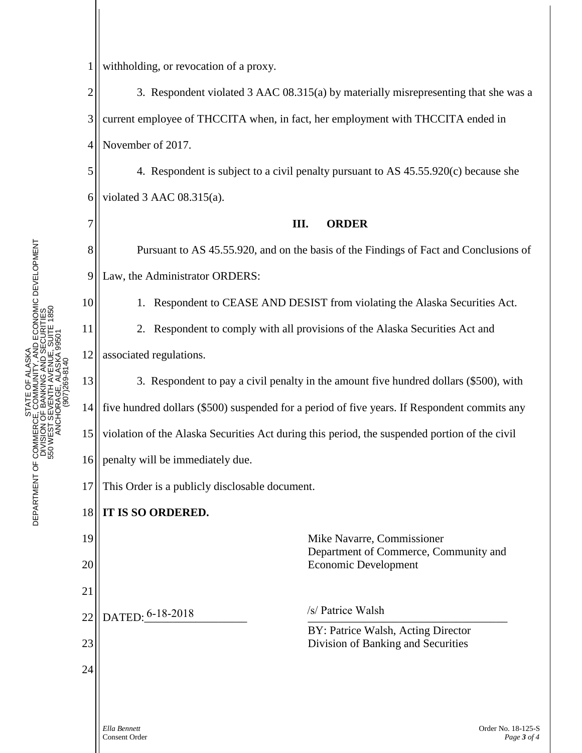7

8

9

10

11

12

1 withholding, or revocation of a proxy.

2 3 4 3. Respondent violated 3 AAC 08.315(a) by materially misrepresenting that she was a current employee of THCCITA when, in fact, her employment with THCCITA ended in November of 2017.

5 6 4. Respondent is subject to a civil penalty pursuant to AS 45.55.920(c) because she violated 3 AAC 08.315(a).

## **III. ORDER**

Pursuant to AS 45.55.920, and on the basis of the Findings of Fact and Conclusions of Law, the Administrator ORDERS:

1. Respondent to CEASE AND DESIST from violating the Alaska Securities Act.

2. Respondent to comply with all provisions of the Alaska Securities Act and associated regulations.

13 14 15 16 3. Respondent to pay a civil penalty in the amount five hundred dollars (\$500), with five hundred dollars (\$500) suspended for a period of five years. If Respondent commits any violation of the Alaska Securities Act during this period, the suspended portion of the civil penalty will be immediately due.

17 This Order is a publicly disclosable document.

## 18 **IT IS SO ORDERED.**